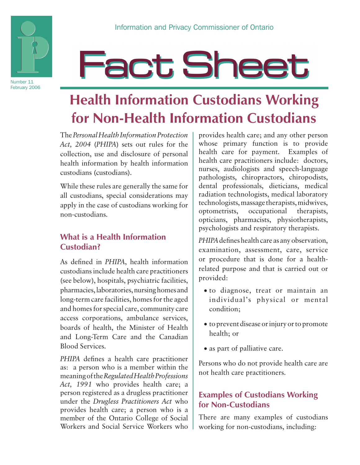

Number 11 February 2006

# **Fact Sheet**

## **Health Information Custodians Working for Non-Health Information Custodians**

The *Personal Health Information Protection Act, 2004* (*PHIPA*) sets out rules for the collection, use and disclosure of personal health information by health information custodians (custodians).

While these rules are generally the same for all custodians, special considerations may apply in the case of custodians working for non-custodians.

#### **What is a Health Information Custodian?**

As defined in *PHIPA*, health information custodians include health care practitioners (see below), hospitals, psychiatric facilities, pharmacies, laboratories, nursing homes and long-term care facilities, homes for the aged and homes for special care, community care access corporations, ambulance services, boards of health, the Minister of Health and Long-Term Care and the Canadian Blood Services.

*PHIPA* defines a health care practitioner as: a person who is a member within the meaning of the *Regulated Health Professions Act, 1991* who provides health care; a person registered as a drugless practitioner under the *Drugless Practitioners Act* who provides health care; a person who is a member of the Ontario College of Social Workers and Social Service Workers who

provides health care; and any other person whose primary function is to provide health care for payment. Examples of health care practitioners include: doctors, nurses, audiologists and speech-language pathologists, chiropractors, chiropodists, dental professionals, dieticians, medical radiation technologists, medical laboratory technologists, massage therapists, midwives, optometrists, occupational therapists, opticians, pharmacists, physiotherapists, psychologists and respiratory therapists.

*PHIPA* defines health care as any observation, examination, assessment, care, service or procedure that is done for a healthrelated purpose and that is carried out or provided:

- • to diagnose, treat or maintain an individual's physical or mental condition;
- • to prevent disease or injury or to promote health; or
- as part of palliative care.

Persons who do not provide health care are not health care practitioners.

#### **Examples of Custodians Working for Non-Custodians**

There are many examples of custodians working for non-custodians, including: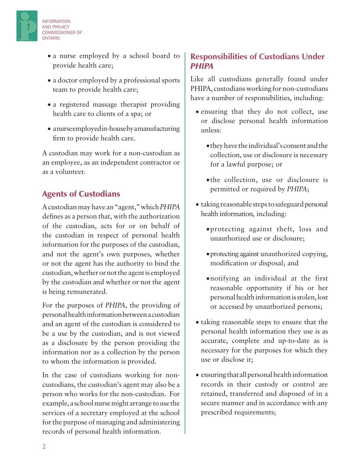• a nurse employed by a school board to provide health care;

- a doctor employed by a professional sports team to provide health care;
- a registered massage therapist providing health care to clients of a spa; or
- anurse employed in-house by a manufacturing firm to provide health care.

A custodian may work for a non-custodian as an employee, as an independent contractor or as a volunteer.

#### Agents of Custodians

INFORMATION AND PRIVACY COMMISSIONER OF

ONTARIO

A custodian may have an "agent," which *PHIPA* defines as a person that, with the authorization of the custodian, acts for or on behalf of the custodian in respect of personal health information for the purposes of the custodian, and not the agent's own purposes, whether or not the agent has the authority to bind the custodian, whether or not the agent is employed by the custodian and whether or not the agent is being remunerated.

For the purposes of *PHIPA*, the providing of personal health information between a custodian and an agent of the custodian is considered to be a use by the custodian, and is not viewed as a disclosure by the person providing the information nor as a collection by the person to whom the information is provided.

In the case of custodians working for noncustodians, the custodian's agent may also be a person who works for the non-custodian. For example, a school nurse might arrange to use the services of a secretary employed at the school for the purpose of managing and administering records of personal health information.

#### **Responsibilities of Custodians Under**  *PHIPA*

Like all custodians generally found under PHIPA, custodians working for non-custodians have a number of responsibilities, including:

- ensuring that they do not collect, use or disclose personal health information unless:
	- • they have the individual's consent and the collection, use or disclosure is necessary for a lawful purpose; or
	- • the collection, use or disclosure is permitted or required by *PHIPA*;
- taking reasonable steps to safeguard personal health information, including:
	- • protecting against theft, loss and unauthorized use or disclosure;
	- protecting against unauthorized copying, modification or disposal; and
	- • notifying an individual at the first reasonable opportunity if his or her personal health information is stolen, lost or accessed by unauthorized persons;
- taking reasonable steps to ensure that the personal health information they use is as accurate, complete and up-to-date as is necessary for the purposes for which they use or disclose it;
- ensuring that all personal health information records in their custody or control are retained, transferred and disposed of in a secure manner and in accordance with any prescribed requirements;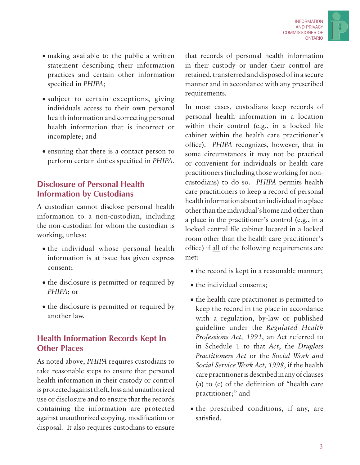

- making available to the public a written statement describing their information practices and certain other information specified in *PHIPA*;
- subject to certain exceptions, giving individuals access to their own personal health information and correcting personal health information that is incorrect or incomplete; and
- • ensuring that there is a contact person to perform certain duties specified in *PHIPA*.

#### **Disclosure of Personal Health Information by Custodians**

A custodian cannot disclose personal health information to a non-custodian, including the non-custodian for whom the custodian is working, unless:

- the individual whose personal health information is at issue has given express consent;
- the disclosure is permitted or required by *PHIPA*; or
- the disclosure is permitted or required by another law.

#### **Health Information Records Kept In Other Places**

As noted above, *PHIPA* requires custodians to take reasonable steps to ensure that personal health information in their custody or control is protected against theft, loss and unauthorized use or disclosure and to ensure that the records containing the information are protected against unauthorized copying, modification or disposal. It also requires custodians to ensure that records of personal health information in their custody or under their control are retained, transferred and disposed of in a secure manner and in accordance with any prescribed requirements.

In most cases, custodians keep records of personal health information in a location within their control (e.g., in a locked file cabinet within the health care practitioner's office). *PHIPA* recognizes, however, that in some circumstances it may not be practical or convenient for individuals or health care practitioners (including those working for noncustodians) to do so. *PHIPA* permits health care practitioners to keep a record of personal health information about an individual in a place other than the individual's home and other than a place in the practitioner's control (e.g., in a locked central file cabinet located in a locked room other than the health care practitioner's office) if all of the following requirements are met:

- the record is kept in a reasonable manner;
- the individual consents;
- the health care practitioner is permitted to keep the record in the place in accordance with a regulation, by-law or published guideline under the *Regulated Health Professions Act, 1991*, an Act referred to in Schedule 1 to that *Act*, the *Drugless Practitioners Act* or the *Social Work and Social Service Work Act, 1998*, if the health care practitioner is described in any of clauses (a) to (c) of the definition of "health care practitioner;" and
- the prescribed conditions, if any, are satisfied.